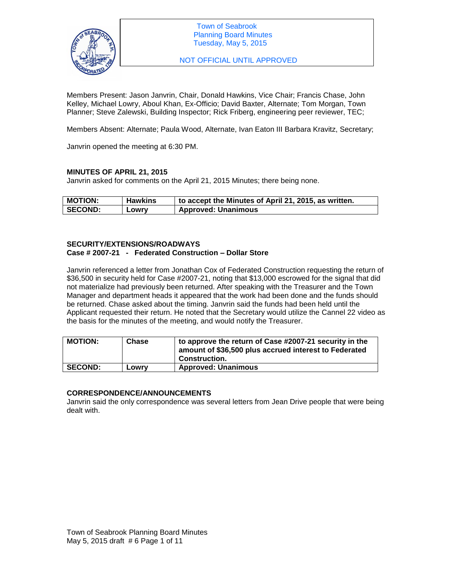

NOT OFFICIAL UNTIL APPROVED

Members Present: Jason Janvrin, Chair, Donald Hawkins, Vice Chair; Francis Chase, John Kelley, Michael Lowry, Aboul Khan, Ex-Officio; David Baxter, Alternate; Tom Morgan, Town Planner; Steve Zalewski, Building Inspector; Rick Friberg, engineering peer reviewer, TEC;

Members Absent: Alternate; Paula Wood, Alternate, Ivan Eaton III Barbara Kravitz, Secretary;

Janvrin opened the meeting at 6:30 PM.

# **MINUTES OF APRIL 21, 2015**

Janvrin asked for comments on the April 21, 2015 Minutes; there being none.

| <b>MOTION:</b> | <b>Hawkins</b> | to accept the Minutes of April 21, 2015, as written. |
|----------------|----------------|------------------------------------------------------|
| <b>SECOND:</b> | Lowry          | <b>Approved: Unanimous</b>                           |

#### **SECURITY/EXTENSIONS/ROADWAYS Case # 2007-21 - Federated Construction – Dollar Store**

Janvrin referenced a letter from Jonathan Cox of Federated Construction requesting the return of \$36,500 in security held for Case #2007-21, noting that \$13,000 escrowed for the signal that did not materialize had previously been returned. After speaking with the Treasurer and the Town Manager and department heads it appeared that the work had been done and the funds should be returned. Chase asked about the timing. Janvrin said the funds had been held until the Applicant requested their return. He noted that the Secretary would utilize the Cannel 22 video as the basis for the minutes of the meeting, and would notify the Treasurer.

| <b>MOTION:</b> | Chase | to approve the return of Case #2007-21 security in the<br>amount of \$36,500 plus accrued interest to Federated<br>Construction. |
|----------------|-------|----------------------------------------------------------------------------------------------------------------------------------|
| <b>SECOND:</b> | Lowry | <b>Approved: Unanimous</b>                                                                                                       |

### **CORRESPONDENCE/ANNOUNCEMENTS**

Janvrin said the only correspondence was several letters from Jean Drive people that were being dealt with.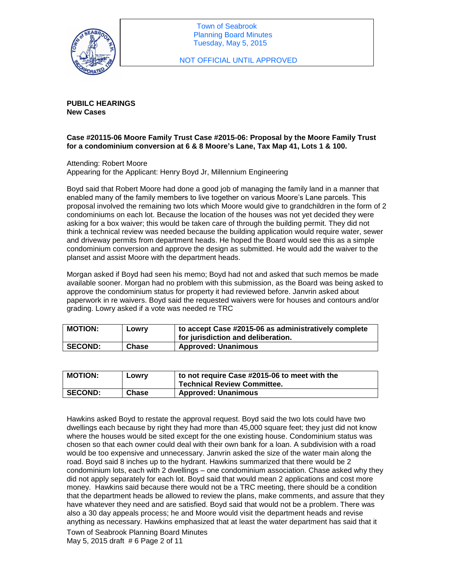

NOT OFFICIAL UNTIL APPROVED

**PUBILC HEARINGS New Cases**

# **Case #20115-06 Moore Family Trust Case #2015-06: Proposal by the Moore Family Trust for a condominium conversion at 6 & 8 Moore's Lane, Tax Map 41, Lots 1 & 100.**

Attending: Robert Moore Appearing for the Applicant: Henry Boyd Jr, Millennium Engineering

Boyd said that Robert Moore had done a good job of managing the family land in a manner that enabled many of the family members to live together on various Moore's Lane parcels. This proposal involved the remaining two lots which Moore would give to grandchildren in the form of 2 condominiums on each lot. Because the location of the houses was not yet decided they were asking for a box waiver; this would be taken care of through the building permit. They did not think a technical review was needed because the building application would require water, sewer and driveway permits from department heads. He hoped the Board would see this as a simple condominium conversion and approve the design as submitted. He would add the waiver to the planset and assist Moore with the department heads.

Morgan asked if Boyd had seen his memo; Boyd had not and asked that such memos be made available sooner. Morgan had no problem with this submission, as the Board was being asked to approve the condominium status for property it had reviewed before. Janvrin asked about paperwork in re waivers. Boyd said the requested waivers were for houses and contours and/or grading. Lowry asked if a vote was needed re TRC

| <b>MOTION:</b> | LOWIV | to accept Case #2015-06 as administratively complete<br>for jurisdiction and deliberation. |
|----------------|-------|--------------------------------------------------------------------------------------------|
| <b>SECOND:</b> | Chase | <b>Approved: Unanimous</b>                                                                 |

| <b>MOTION:</b> | LOWIV | to not require Case #2015-06 to meet with the<br><b>Technical Review Committee.</b> |
|----------------|-------|-------------------------------------------------------------------------------------|
| <b>SECOND:</b> | Chase | <b>Approved: Unanimous</b>                                                          |

Hawkins asked Boyd to restate the approval request. Boyd said the two lots could have two dwellings each because by right they had more than 45,000 square feet; they just did not know where the houses would be sited except for the one existing house. Condominium status was chosen so that each owner could deal with their own bank for a loan. A subdivision with a road would be too expensive and unnecessary. Janvrin asked the size of the water main along the road. Boyd said 8 inches up to the hydrant. Hawkins summarized that there would be 2 condominium lots, each with 2 dwellings – one condominium association. Chase asked why they did not apply separately for each lot. Boyd said that would mean 2 applications and cost more money. Hawkins said because there would not be a TRC meeting, there should be a condition that the department heads be allowed to review the plans, make comments, and assure that they have whatever they need and are satisfied. Boyd said that would not be a problem. There was also a 30 day appeals process; he and Moore would visit the department heads and revise anything as necessary. Hawkins emphasized that at least the water department has said that it

Town of Seabrook Planning Board Minutes May 5, 2015 draft # 6 Page 2 of 11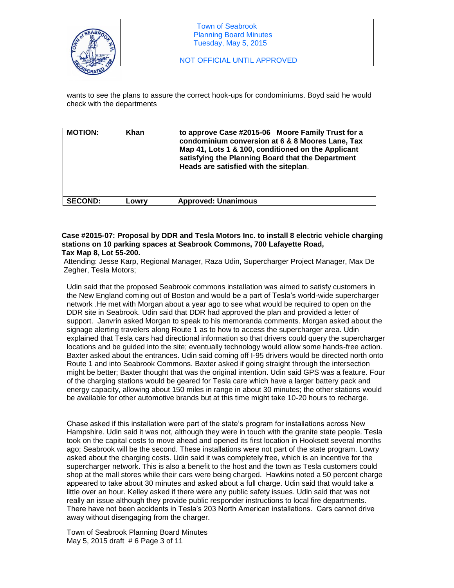

wants to see the plans to assure the correct hook-ups for condominiums. Boyd said he would check with the departments

| <b>MOTION:</b> | <b>Khan</b> | to approve Case #2015-06 Moore Family Trust for a<br>condominium conversion at 6 & 8 Moores Lane, Tax<br>Map 41, Lots 1 & 100, conditioned on the Applicant<br>satisfying the Planning Board that the Department<br>Heads are satisfied with the siteplan. |
|----------------|-------------|------------------------------------------------------------------------------------------------------------------------------------------------------------------------------------------------------------------------------------------------------------|
| <b>SECOND:</b> | Lowrv       | <b>Approved: Unanimous</b>                                                                                                                                                                                                                                 |

#### **Case #2015-07: Proposal by DDR and Tesla Motors Inc. to install 8 electric vehicle charging stations on 10 parking spaces at Seabrook Commons, 700 Lafayette Road, Tax Map 8, Lot 55-200.**

Attending: Jesse Karp, Regional Manager, Raza Udin, Supercharger Project Manager, Max De Zegher, Tesla Motors;

Udin said that the proposed Seabrook commons installation was aimed to satisfy customers in the New England coming out of Boston and would be a part of Tesla's world-wide supercharger network .He met with Morgan about a year ago to see what would be required to open on the DDR site in Seabrook. Udin said that DDR had approved the plan and provided a letter of support. Janvrin asked Morgan to speak to his memoranda comments. Morgan asked about the signage alerting travelers along Route 1 as to how to access the supercharger area. Udin explained that Tesla cars had directional information so that drivers could query the supercharger locations and be guided into the site; eventually technology would allow some hands-free action. Baxter asked about the entrances. Udin said coming off I-95 drivers would be directed north onto Route 1 and into Seabrook Commons. Baxter asked if going straight through the intersection might be better; Baxter thought that was the original intention. Udin said GPS was a feature. Four of the charging stations would be geared for Tesla care which have a larger battery pack and energy capacity, allowing about 150 miles in range in about 30 minutes; the other stations would be available for other automotive brands but at this time might take 10-20 hours to recharge.

Chase asked if this installation were part of the state's program for installations across New Hampshire. Udin said it was not, although they were in touch with the granite state people. Tesla took on the capital costs to move ahead and opened its first location in Hooksett several months ago; Seabrook will be the second. These installations were not part of the state program. Lowry asked about the charging costs. Udin said it was completely free, which is an incentive for the supercharger network. This is also a benefit to the host and the town as Tesla customers could shop at the mall stores while their cars were being charged. Hawkins noted a 50 percent charge appeared to take about 30 minutes and asked about a full charge. Udin said that would take a little over an hour. Kelley asked if there were any public safety issues. Udin said that was not really an issue although they provide public responder instructions to local fire departments. There have not been accidents in Tesla's 203 North American installations. Cars cannot drive away without disengaging from the charger.

Town of Seabrook Planning Board Minutes May 5, 2015 draft # 6 Page 3 of 11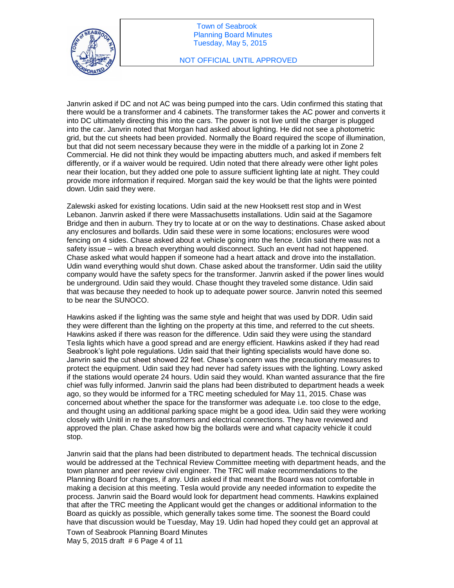

Janvrin asked if DC and not AC was being pumped into the cars. Udin confirmed this stating that there would be a transformer and 4 cabinets. The transformer takes the AC power and converts it into DC ultimately directing this into the cars. The power is not live until the charger is plugged into the car. Janvrin noted that Morgan had asked about lighting. He did not see a photometric grid, but the cut sheets had been provided. Normally the Board required the scope of illumination, but that did not seem necessary because they were in the middle of a parking lot in Zone 2 Commercial. He did not think they would be impacting abutters much, and asked if members felt differently, or if a waiver would be required. Udin noted that there already were other light poles near their location, but they added one pole to assure sufficient lighting late at night. They could provide more information if required. Morgan said the key would be that the lights were pointed down. Udin said they were.

Zalewski asked for existing locations. Udin said at the new Hooksett rest stop and in West Lebanon. Janvrin asked if there were Massachusetts installations. Udin said at the Sagamore Bridge and then in auburn. They try to locate at or on the way to destinations. Chase asked about any enclosures and bollards. Udin said these were in some locations; enclosures were wood fencing on 4 sides. Chase asked about a vehicle going into the fence. Udin said there was not a safety issue – with a breach everything would disconnect. Such an event had not happened. Chase asked what would happen if someone had a heart attack and drove into the installation. Udin wand everything would shut down. Chase asked about the transformer. Udin said the utility company would have the safety specs for the transformer. Janvrin asked if the power lines would be underground. Udin said they would. Chase thought they traveled some distance. Udin said that was because they needed to hook up to adequate power source. Janvrin noted this seemed to be near the SUNOCO.

Hawkins asked if the lighting was the same style and height that was used by DDR. Udin said they were different than the lighting on the property at this time, and referred to the cut sheets. Hawkins asked if there was reason for the difference. Udin said they were using the standard Tesla lights which have a good spread and are energy efficient. Hawkins asked if they had read Seabrook's light pole regulations. Udin said that their lighting specialists would have done so. Janvrin said the cut sheet showed 22 feet. Chase's concern was the precautionary measures to protect the equipment. Udin said they had never had safety issues with the lighting. Lowry asked if the stations would operate 24 hours. Udin said they would. Khan wanted assurance that the fire chief was fully informed. Janvrin said the plans had been distributed to department heads a week ago, so they would be informed for a TRC meeting scheduled for May 11, 2015. Chase was concerned about whether the space for the transformer was adequate i.e. too close to the edge, and thought using an additional parking space might be a good idea. Udin said they were working closely with Unitil in re the transformers and electrical connections. They have reviewed and approved the plan. Chase asked how big the bollards were and what capacity vehicle it could stop.

Janvrin said that the plans had been distributed to department heads. The technical discussion would be addressed at the Technical Review Committee meeting with department heads, and the town planner and peer review civil engineer. The TRC will make recommendations to the Planning Board for changes, if any. Udin asked if that meant the Board was not comfortable in making a decision at this meeting. Tesla would provide any needed information to expedite the process. Janvrin said the Board would look for department head comments. Hawkins explained that after the TRC meeting the Applicant would get the changes or additional information to the Board as quickly as possible, which generally takes some time. The soonest the Board could have that discussion would be Tuesday, May 19. Udin had hoped they could get an approval at

Town of Seabrook Planning Board Minutes May 5, 2015 draft # 6 Page 4 of 11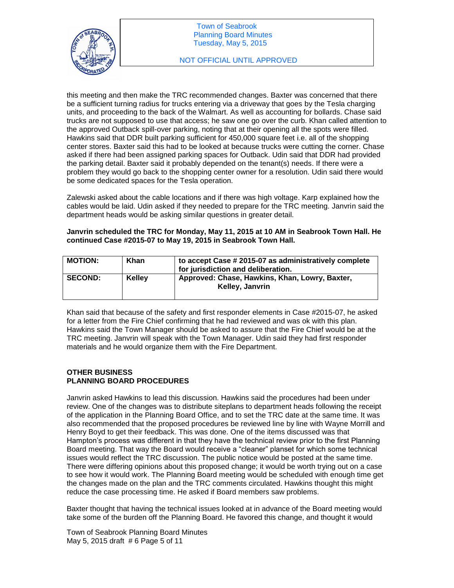

this meeting and then make the TRC recommended changes. Baxter was concerned that there be a sufficient turning radius for trucks entering via a driveway that goes by the Tesla charging units, and proceeding to the back of the Walmart. As well as accounting for bollards. Chase said trucks are not supposed to use that access; he saw one go over the curb. Khan called attention to the approved Outback spill-over parking, noting that at their opening all the spots were filled. Hawkins said that DDR built parking sufficient for 450,000 square feet i.e. all of the shopping center stores. Baxter said this had to be looked at because trucks were cutting the corner. Chase asked if there had been assigned parking spaces for Outback. Udin said that DDR had provided the parking detail. Baxter said it probably depended on the tenant(s) needs. If there were a problem they would go back to the shopping center owner for a resolution. Udin said there would be some dedicated spaces for the Tesla operation.

Zalewski asked about the cable locations and if there was high voltage. Karp explained how the cables would be laid. Udin asked if they needed to prepare for the TRC meeting. Janvrin said the department heads would be asking similar questions in greater detail.

### **Janvrin scheduled the TRC for Monday, May 11, 2015 at 10 AM in Seabrook Town Hall. He continued Case #2015-07 to May 19, 2015 in Seabrook Town Hall.**

| <b>MOTION:</b> | Khan          | to accept Case # 2015-07 as administratively complete<br>for jurisdiction and deliberation. |
|----------------|---------------|---------------------------------------------------------------------------------------------|
| <b>SECOND:</b> | <b>Kelley</b> | Approved: Chase, Hawkins, Khan, Lowry, Baxter,<br>Kelley, Janvrin                           |

Khan said that because of the safety and first responder elements in Case #2015-07, he asked for a letter from the Fire Chief confirming that he had reviewed and was ok with this plan. Hawkins said the Town Manager should be asked to assure that the Fire Chief would be at the TRC meeting. Janvrin will speak with the Town Manager. Udin said they had first responder materials and he would organize them with the Fire Department.

# **OTHER BUSINESS PLANNING BOARD PROCEDURES**

Janvrin asked Hawkins to lead this discussion. Hawkins said the procedures had been under review. One of the changes was to distribute siteplans to department heads following the receipt of the application in the Planning Board Office, and to set the TRC date at the same time. It was also recommended that the proposed procedures be reviewed line by line with Wayne Morrill and Henry Boyd to get their feedback. This was done. One of the items discussed was that Hampton's process was different in that they have the technical review prior to the first Planning Board meeting. That way the Board would receive a "cleaner" planset for which some technical issues would reflect the TRC discussion. The public notice would be posted at the same time. There were differing opinions about this proposed change; it would be worth trying out on a case to see how it would work. The Planning Board meeting would be scheduled with enough time get the changes made on the plan and the TRC comments circulated. Hawkins thought this might reduce the case processing time. He asked if Board members saw problems.

Baxter thought that having the technical issues looked at in advance of the Board meeting would take some of the burden off the Planning Board. He favored this change, and thought it would

Town of Seabrook Planning Board Minutes May 5, 2015 draft # 6 Page 5 of 11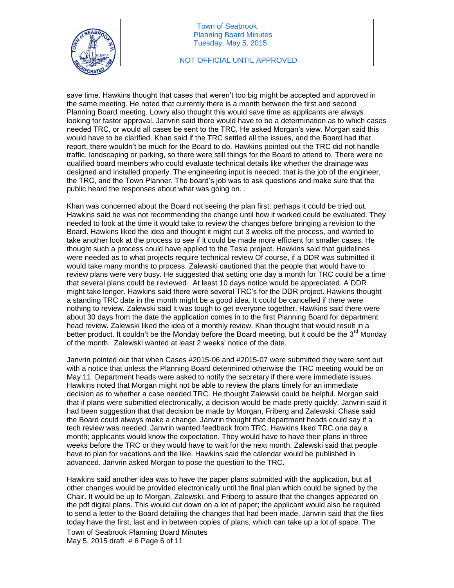

save time. Hawkins thought that cases that weren't too big might be accepted and approved in the same meeting. He noted that currently there is a month between the first and second Planning Board meeting. Lowry also thought this would save time as applicants are always looking for faster approval. Janvrin said there would have to be a determination as to which cases needed TRC, or would all cases be sent to the TRC. He asked Morgan's view. Morgan said this would have to be clarified. Khan said if the TRC settled all the issues, and the Board had that report, there wouldn't be much for the Board to do. Hawkins pointed out the TRC did not handle traffic, landscaping or parking, so there were still things for the Board to attend to. There were no qualified board members who could evaluate technical details like whether the drainage was designed and installed properly. The engineering input is needed; that is the job of the engineer, the TRC, and the Town Planner. The board's job was to ask questions and make sure that the public heard the responses about what was going on. .

Khan was concerned about the Board not seeing the plan first; perhaps it could be tried out. Hawkins said he was not recommending the change until how it worked could be evaluated. They needed to look at the time it would take to review the changes before bringing a revision to the Board. Hawkins liked the idea and thought it might cut 3 weeks off the process, and wanted to take another look at the process to see if it could be made more efficient for smaller cases. He thought such a process could have applied to the Tesla project. Hawkins said that guidelines were needed as to what projects require technical review Of course, if a DDR was submitted it would take many months to process. Zalewski cautioned that the people that would have to review plans were very busy. He suggested that setting one day a month for TRC could be a time that several plans could be reviewed. At least 10 days notice would be appreciated. A DDR might take longer. Hawkins said there were several TRC's for the DDR project. Hawkins thought a standing TRC date in the month might be a good idea. It could be cancelled if there were nothing to review. Zalewski said it was tough to get everyone together. Hawkins said there were about 30 days from the date the application comes in to the first Planning Board for department head review. Zalewski liked the idea of a monthly review. Khan thought that would result in a better product. It couldn't be the Monday before the Board meeting, but it could be the  $3^{rd}$  Monday of the month. Zalewski wanted at least 2 weeks' notice of the date.

Janvrin pointed out that when Cases #2015-06 and #2015-07 were submitted they were sent out with a notice that unless the Planning Board determined otherwise the TRC meeting would be on May 11. Department heads were asked to notify the secretary if there were immediate issues. Hawkins noted that Morgan might not be able to review the plans timely for an immediate decision as to whether a case needed TRC. He thought Zalewski could be helpful. Morgan said that if plans were submitted electronically, a decision would be made pretty quickly. Janvrin said it had been suggestion that that decision be made by Morgan, Friberg and Zalewski. Chase said the Board could always make a change. Janvrin thought that department heads could say if a tech review was needed. Janvrin wanted feedback from TRC. Hawkins liked TRC one day a month; applicants would know the expectation. They would have to have their plans in three weeks before the TRC or they would have to wait for the next month. Zalewski said that people have to plan for vacations and the like. Hawkins said the calendar would be published in advanced. Janvrin asked Morgan to pose the question to the TRC.

Hawkins said another idea was to have the paper plans submitted with the application, but all other changes would be provided electronically until the final plan which could be signed by the Chair. It would be up to Morgan, Zalewski, and Friberg to assure that the changes appeared on the pdf digital plans. This would cut down on a lot of paper; the applicant would also be required to send a letter to the Board detailing the changes that had been made. Janvrin said that the files today have the first, last and in between copies of plans, which can take up a lot of space. The

Town of Seabrook Planning Board Minutes May 5, 2015 draft # 6 Page 6 of 11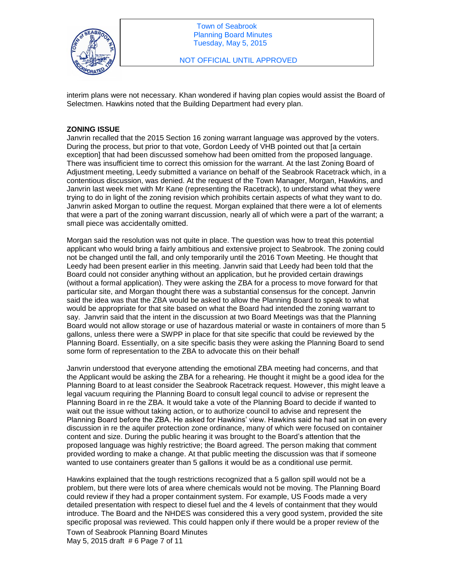

interim plans were not necessary. Khan wondered if having plan copies would assist the Board of Selectmen. Hawkins noted that the Building Department had every plan.

## **ZONING ISSUE**

Janvrin recalled that the 2015 Section 16 zoning warrant language was approved by the voters. During the process, but prior to that vote, Gordon Leedy of VHB pointed out that [a certain exception] that had been discussed somehow had been omitted from the proposed language. There was insufficient time to correct this omission for the warrant. At the last Zoning Board of Adjustment meeting, Leedy submitted a variance on behalf of the Seabrook Racetrack which, in a contentious discussion, was denied. At the request of the Town Manager, Morgan, Hawkins, and Janvrin last week met with Mr Kane (representing the Racetrack), to understand what they were trying to do in light of the zoning revision which prohibits certain aspects of what they want to do. Janvrin asked Morgan to outline the request. Morgan explained that there were a lot of elements that were a part of the zoning warrant discussion, nearly all of which were a part of the warrant; a small piece was accidentally omitted.

Morgan said the resolution was not quite in place. The question was how to treat this potential applicant who would bring a fairly ambitious and extensive project to Seabrook. The zoning could not be changed until the fall, and only temporarily until the 2016 Town Meeting. He thought that Leedy had been present earlier in this meeting. Janvrin said that Leedy had been told that the Board could not consider anything without an application, but he provided certain drawings (without a formal application). They were asking the ZBA for a process to move forward for that particular site, and Morgan thought there was a substantial consensus for the concept. Janvrin said the idea was that the ZBA would be asked to allow the Planning Board to speak to what would be appropriate for that site based on what the Board had intended the zoning warrant to say. Janvrin said that the intent in the discussion at two Board Meetings was that the Planning Board would not allow storage or use of hazardous material or waste in containers of more than 5 gallons, unless there were a SWPP in place for that site specific that could be reviewed by the Planning Board. Essentially, on a site specific basis they were asking the Planning Board to send some form of representation to the ZBA to advocate this on their behalf

Janvrin understood that everyone attending the emotional ZBA meeting had concerns, and that the Applicant would be asking the ZBA for a rehearing. He thought it might be a good idea for the Planning Board to at least consider the Seabrook Racetrack request. However, this might leave a legal vacuum requiring the Planning Board to consult legal council to advise or represent the Planning Board in re the ZBA. It would take a vote of the Planning Board to decide if wanted to wait out the issue without taking action, or to authorize council to advise and represent the Planning Board before the ZBA. He asked for Hawkins' view. Hawkins said he had sat in on every discussion in re the aquifer protection zone ordinance, many of which were focused on container content and size. During the public hearing it was brought to the Board's attention that the proposed language was highly restrictive; the Board agreed. The person making that comment provided wording to make a change. At that public meeting the discussion was that if someone wanted to use containers greater than 5 gallons it would be as a conditional use permit.

Hawkins explained that the tough restrictions recognized that a 5 gallon spill would not be a problem, but there were lots of area where chemicals would not be moving. The Planning Board could review if they had a proper containment system. For example, US Foods made a very detailed presentation with respect to diesel fuel and the 4 levels of containment that they would introduce. The Board and the NHDES was considered this a very good system, provided the site specific proposal was reviewed. This could happen only if there would be a proper review of the

Town of Seabrook Planning Board Minutes May 5, 2015 draft # 6 Page 7 of 11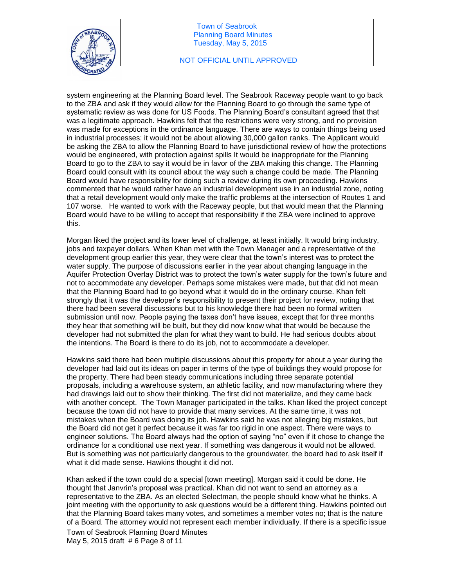

### NOT OFFICIAL UNTIL APPROVED

system engineering at the Planning Board level. The Seabrook Raceway people want to go back to the ZBA and ask if they would allow for the Planning Board to go through the same type of systematic review as was done for US Foods. The Planning Board's consultant agreed that that was a legitimate approach. Hawkins felt that the restrictions were very strong, and no provision was made for exceptions in the ordinance language. There are ways to contain things being used in industrial processes; it would not be about allowing 30,000 gallon ranks. The Applicant would be asking the ZBA to allow the Planning Board to have jurisdictional review of how the protections would be engineered, with protection against spills It would be inappropriate for the Planning Board to go to the ZBA to say it would be in favor of the ZBA making this change. The Planning Board could consult with its council about the way such a change could be made. The Planning Board would have responsibility for doing such a review during its own proceeding. Hawkins commented that he would rather have an industrial development use in an industrial zone, noting that a retail development would only make the traffic problems at the intersection of Routes 1 and 107 worse. He wanted to work with the Raceway people, but that would mean that the Planning Board would have to be willing to accept that responsibility if the ZBA were inclined to approve this.

Morgan liked the project and its lower level of challenge, at least initially. It would bring industry, jobs and taxpayer dollars. When Khan met with the Town Manager and a representative of the development group earlier this year, they were clear that the town's interest was to protect the water supply. The purpose of discussions earlier in the year about changing language in the Aquifer Protection Overlay District was to protect the town's water supply for the town's future and not to accommodate any developer. Perhaps some mistakes were made, but that did not mean that the Planning Board had to go beyond what it would do in the ordinary course. Khan felt strongly that it was the developer's responsibility to present their project for review, noting that there had been several discussions but to his knowledge there had been no formal written submission until now. People paying the taxes don't have issues, except that for three months they hear that something will be built, but they did now know what that would be because the developer had not submitted the plan for what they want to build. He had serious doubts about the intentions. The Board is there to do its job, not to accommodate a developer.

Hawkins said there had been multiple discussions about this property for about a year during the developer had laid out its ideas on paper in terms of the type of buildings they would propose for the property. There had been steady communications including three separate potential proposals, including a warehouse system, an athletic facility, and now manufacturing where they had drawings laid out to show their thinking. The first did not materialize, and they came back with another concept. The Town Manager participated in the talks. Khan liked the project concept because the town did not have to provide that many services. At the same time, it was not mistakes when the Board was doing its job. Hawkins said he was not alleging big mistakes, but the Board did not get it perfect because it was far too rigid in one aspect. There were ways to engineer solutions. The Board always had the option of saying "no" even if it chose to change the ordinance for a conditional use next year. If something was dangerous it would not be allowed. But is something was not particularly dangerous to the groundwater, the board had to ask itself if what it did made sense. Hawkins thought it did not.

Khan asked if the town could do a special [town meeting]. Morgan said it could be done. He thought that Janvrin's proposal was practical. Khan did not want to send an attorney as a representative to the ZBA. As an elected Selectman, the people should know what he thinks. A joint meeting with the opportunity to ask questions would be a different thing. Hawkins pointed out that the Planning Board takes many votes, and sometimes a member votes no; that is the nature of a Board. The attorney would not represent each member individually. If there is a specific issue

Town of Seabrook Planning Board Minutes May 5, 2015 draft # 6 Page 8 of 11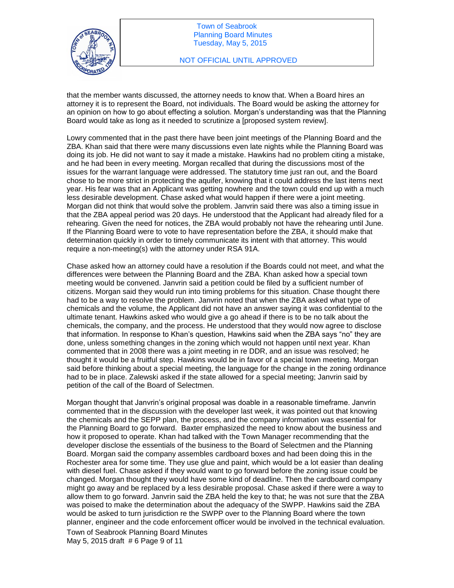

that the member wants discussed, the attorney needs to know that. When a Board hires an attorney it is to represent the Board, not individuals. The Board would be asking the attorney for an opinion on how to go about effecting a solution. Morgan's understanding was that the Planning Board would take as long as it needed to scrutinize a [proposed system review].

Lowry commented that in the past there have been joint meetings of the Planning Board and the ZBA. Khan said that there were many discussions even late nights while the Planning Board was doing its job. He did not want to say it made a mistake. Hawkins had no problem citing a mistake, and he had been in every meeting. Morgan recalled that during the discussions most of the issues for the warrant language were addressed. The statutory time just ran out, and the Board chose to be more strict in protecting the aquifer, knowing that it could address the last items next year. His fear was that an Applicant was getting nowhere and the town could end up with a much less desirable development. Chase asked what would happen if there were a joint meeting. Morgan did not think that would solve the problem. Janvrin said there was also a timing issue in that the ZBA appeal period was 20 days. He understood that the Applicant had already filed for a rehearing. Given the need for notices, the ZBA would probably not have the rehearing until June. If the Planning Board were to vote to have representation before the ZBA, it should make that determination quickly in order to timely communicate its intent with that attorney. This would require a non-meeting(s) with the attorney under RSA 91A.

Chase asked how an attorney could have a resolution if the Boards could not meet, and what the differences were between the Planning Board and the ZBA. Khan asked how a special town meeting would be convened. Janvrin said a petition could be filed by a sufficient number of citizens. Morgan said they would run into timing problems for this situation. Chase thought there had to be a way to resolve the problem. Janvrin noted that when the ZBA asked what type of chemicals and the volume, the Applicant did not have an answer saying it was confidential to the ultimate tenant. Hawkins asked who would give a go ahead if there is to be no talk about the chemicals, the company, and the process. He understood that they would now agree to disclose that information. In response to Khan's question, Hawkins said when the ZBA says "no" they are done, unless something changes in the zoning which would not happen until next year. Khan commented that in 2008 there was a joint meeting in re DDR, and an issue was resolved; he thought it would be a fruitful step. Hawkins would be in favor of a special town meeting. Morgan said before thinking about a special meeting, the language for the change in the zoning ordinance had to be in place. Zalewski asked if the state allowed for a special meeting; Janvrin said by petition of the call of the Board of Selectmen.

Morgan thought that Janvrin's original proposal was doable in a reasonable timeframe. Janvrin commented that in the discussion with the developer last week, it was pointed out that knowing the chemicals and the SEPP plan, the process, and the company information was essential for the Planning Board to go forward. Baxter emphasized the need to know about the business and how it proposed to operate. Khan had talked with the Town Manager recommending that the developer disclose the essentials of the business to the Board of Selectmen and the Planning Board. Morgan said the company assembles cardboard boxes and had been doing this in the Rochester area for some time. They use glue and paint, which would be a lot easier than dealing with diesel fuel. Chase asked if they would want to go forward before the zoning issue could be changed. Morgan thought they would have some kind of deadline. Then the cardboard company might go away and be replaced by a less desirable proposal. Chase asked if there were a way to allow them to go forward. Janvrin said the ZBA held the key to that; he was not sure that the ZBA was poised to make the determination about the adequacy of the SWPP. Hawkins said the ZBA would be asked to turn jurisdiction re the SWPP over to the Planning Board where the town planner, engineer and the code enforcement officer would be involved in the technical evaluation.

Town of Seabrook Planning Board Minutes May 5, 2015 draft # 6 Page 9 of 11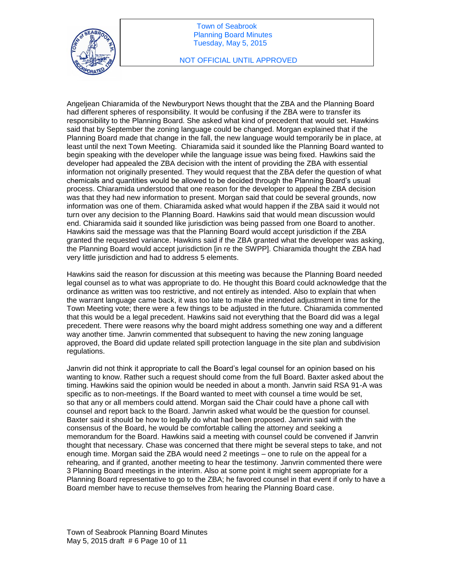

### NOT OFFICIAL UNTIL APPROVED

Angeljean Chiaramida of the Newburyport News thought that the ZBA and the Planning Board had different spheres of responsibility. It would be confusing if the ZBA were to transfer its responsibility to the Planning Board. She asked what kind of precedent that would set. Hawkins said that by September the zoning language could be changed. Morgan explained that if the Planning Board made that change in the fall, the new language would temporarily be in place, at least until the next Town Meeting. Chiaramida said it sounded like the Planning Board wanted to begin speaking with the developer while the language issue was being fixed. Hawkins said the developer had appealed the ZBA decision with the intent of providing the ZBA with essential information not originally presented. They would request that the ZBA defer the question of what chemicals and quantities would be allowed to be decided through the Planning Board's usual process. Chiaramida understood that one reason for the developer to appeal the ZBA decision was that they had new information to present. Morgan said that could be several grounds, now information was one of them. Chiaramida asked what would happen if the ZBA said it would not turn over any decision to the Planning Board. Hawkins said that would mean discussion would end. Chiaramida said it sounded like jurisdiction was being passed from one Board to another. Hawkins said the message was that the Planning Board would accept jurisdiction if the ZBA granted the requested variance. Hawkins said if the ZBA granted what the developer was asking, the Planning Board would accept jurisdiction [in re the SWPP]. Chiaramida thought the ZBA had very little jurisdiction and had to address 5 elements.

Hawkins said the reason for discussion at this meeting was because the Planning Board needed legal counsel as to what was appropriate to do. He thought this Board could acknowledge that the ordinance as written was too restrictive, and not entirely as intended. Also to explain that when the warrant language came back, it was too late to make the intended adjustment in time for the Town Meeting vote; there were a few things to be adjusted in the future. Chiaramida commented that this would be a legal precedent. Hawkins said not everything that the Board did was a legal precedent. There were reasons why the board might address something one way and a different way another time. Janvrin commented that subsequent to having the new zoning language approved, the Board did update related spill protection language in the site plan and subdivision regulations.

Janvrin did not think it appropriate to call the Board's legal counsel for an opinion based on his wanting to know. Rather such a request should come from the full Board. Baxter asked about the timing. Hawkins said the opinion would be needed in about a month. Janvrin said RSA 91-A was specific as to non-meetings. If the Board wanted to meet with counsel a time would be set, so that any or all members could attend. Morgan said the Chair could have a phone call with counsel and report back to the Board. Janvrin asked what would be the question for counsel. Baxter said it should be how to legally do what had been proposed. Janvrin said with the consensus of the Board, he would be comfortable calling the attorney and seeking a memorandum for the Board. Hawkins said a meeting with counsel could be convened if Janvrin thought that necessary. Chase was concerned that there might be several steps to take, and not enough time. Morgan said the ZBA would need 2 meetings – one to rule on the appeal for a rehearing, and if granted, another meeting to hear the testimony. Janvrin commented there were 3 Planning Board meetings in the interim. Also at some point it might seem appropriate for a Planning Board representative to go to the ZBA; he favored counsel in that event if only to have a Board member have to recuse themselves from hearing the Planning Board case.